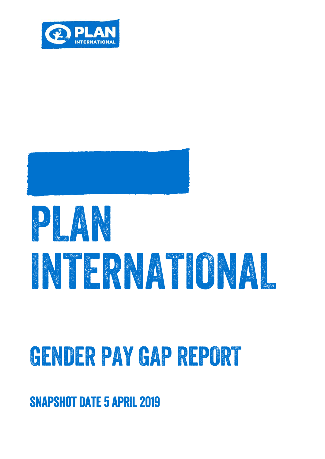

# 

## GENOER PAY GAP REPORT

### **SNAPSHOT DATE 5 APRIL 2019**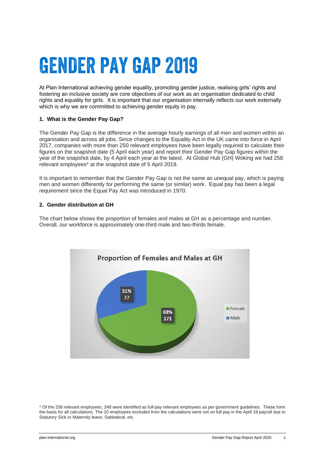### **GENDER PAY GAP 2019**

At Plan International achieving gender equality, promoting gender justice, realising girls' rights and fostering an inclusive society are core objectives of our work as an organisation dedicated to child rights and equality for girls. It is important that our organisation internally reflects our work externally which is why we are committed to achieving gender equity in pay.

#### **1. What is the Gender Pay Gap?**

The Gender Pay Gap is the difference in the average hourly earnings of all men and women within an organisation and across all jobs. Since changes to the Equality Act in the UK came into force in April 2017, companies with more than 250 relevant employees have been legally required to calculate their figures on the snapshot date (5 April each year) and report their Gender Pay Gap figures within the year of the snapshot date, by 4 April each year at the latest. At Global Hub (GH) Woking we had 258 relevant employees\* at the snapshot date of 5 April 2019.

It is important to remember that the Gender Pay Gap is not the same as unequal pay, which is paying men and women differently for performing the same (or similar) work. Equal pay has been a legal requirement since the Equal Pay Act was introduced in 1970.

#### **2. Gender distribution at GH**

The chart below shows the proportion of females and males at GH as a percentage and number. Overall, our workforce is approximately one-third male and two-thirds female.



<sup>\*</sup> Of the 258 relevant employees, 248 were identified as full-pay relevant employees as per government guidelines. These form the basis for all calculations. The 10 employees excluded from the calculations were not on full pay in the April 19 payroll due to Statutory Sick or Maternity leave, Sabbatical, etc.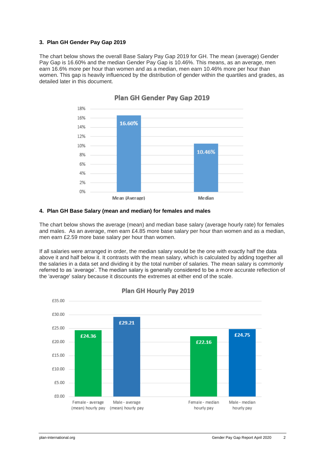#### **3. Plan GH Gender Pay Gap 2019**

The chart below shows the overall Base Salary Pay Gap 2019 for GH. The mean (average) Gender Pay Gap is 16.60% and the median Gender Pay Gap is 10.46%. This means, as an average, men earn 16.6% more per hour than women and as a median, men earn 10.46% more per hour than women. This gap is heavily influenced by the distribution of gender within the quartiles and grades, as detailed later in this document.



Plan GH Gender Pay Gap 2019

#### **4. Plan GH Base Salary (mean and median) for females and males**

The chart below shows the average (mean) and median base salary (average hourly rate) for females and males. As an average, men earn £4.85 more base salary per hour than women and as a median, men earn £2.59 more base salary per hour than women.

If all salaries were arranged in order, the median salary would be the one with exactly half the data above it and half below it. It contrasts with the [mean salary,](https://www.hrzone.com/hr-glossary/mean-wage-definition) which is calculated by adding together all the salaries in a data set and dividing it by the total number of salaries. The mean salary is commonly referred to as 'average'. The median salary is generally considered to be a more accurate reflection of the 'average' salary because it discounts the extremes at either end of the scale.



Plan GH Hourly Pay 2019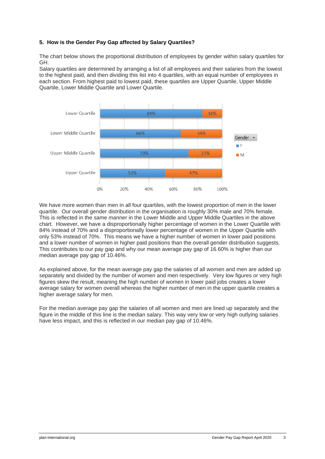#### **5. How is the Gender Pay Gap affected by Salary Quartiles?**

The chart below shows the proportional distribution of employees by gender within salary quartiles for GH.

Salary quartiles are determined by arranging a list of all employees and their salaries from the lowest to the highest paid, and then dividing this list into 4 quartiles, with an equal number of employees in each section. From highest paid to lowest paid, these quartiles are Upper Quartile, Upper Middle Quartile, Lower Middle Quartile and Lower Quartile.



We have more women than men in all four quartiles, with the lowest proportion of men in the lower quartile. Our overall gender distribution in the organisation is roughly 30% male and 70% female. This is reflected in the same manner in the Lower Middle and Upper Middle Quartiles in the above chart. However, we have a disproportionally higher percentage of women in the Lower Quartile with 84% instead of 70% and a disproportionally lower percentage of women in the Upper Quartile with only 53% instead of 70%. This means we have a higher number of women in lower paid positions and a lower number of women in higher paid positions than the overall gender distribution suggests. This contributes to our pay gap and why our mean average pay gap of 16.60% is higher than our median average pay gap of 10.46%.

As explained above, for the mean average pay gap the salaries of all women and men are added up separately and divided by the number of women and men respectively. Very low figures or very high figures skew the result, meaning the high number of women in lower paid jobs creates a lower average salary for women overall whereas the higher number of men in the upper quartile creates a higher average salary for men.

For the median average pay gap the salaries of all women and men are lined up separately and the figure in the middle of this line is the median salary. This way very low or very high outlying salaries have less impact, and this is reflected in our median pay gap of 10.46%.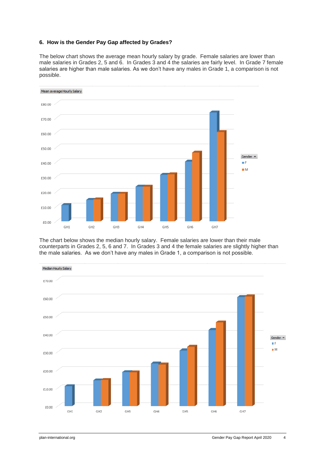#### **6. How is the Gender Pay Gap affected by Grades?**

The below chart shows the average mean hourly salary by grade. Female salaries are lower than male salaries in Grades 2, 5 and 6. In Grades 3 and 4 the salaries are fairly level. In Grade 7 female salaries are higher than male salaries. As we don't have any males in Grade 1, a comparison is not possible.



The chart below shows the median hourly salary. Female salaries are lower than their male counterparts in Grades 2, 5, 6 and 7. In Grades 3 and 4 the female salaries are slightly higher than the male salaries. As we don't have any males in Grade 1, a comparison is not possible.

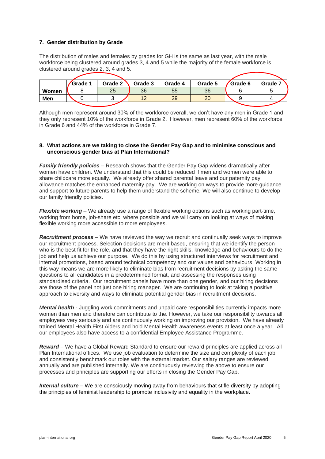#### **7. Gender distribution by Grade**

The distribution of males and females by grades for GH is the same as last year, with the male workforce being clustered around grades 3, 4 and 5 while the majority of the female workforce is clustered around grades 2, 3, 4 and 5.

|       | Grade 1 | Grade 2 | Grade 3 | Grade 4 | Grade 5 | Grade 6 | Grade 7 |
|-------|---------|---------|---------|---------|---------|---------|---------|
| Women |         | 25      | 36      | 55      | 36      |         |         |
| Men   |         |         |         | 29      | 20      |         |         |
|       |         |         |         |         |         |         |         |

Although men represent around 30% of the workforce overall, we don't have any men in Grade 1 and they only represent 10% of the workforce in Grade 2. However, men represent 60% of the workforce in Grade 6 and 44% of the workforce in Grade 7.

#### **8. What actions are we taking to close the Gender Pay Gap and to minimise conscious and unconscious gender bias at Plan International?**

*Family friendly policies* – Research shows that the Gender Pay Gap widens dramatically after women have children. We understand that this could be reduced if men and women were able to share childcare more equally. We already offer shared parental leave and our paternity pay allowance matches the enhanced maternity pay. We are working on ways to provide more guidance and support to future parents to help them understand the scheme*.* We will also continue to develop our family friendly policies.

*Flexible working* – We already use a range of flexible working options such as working part-time, working from home, job-share etc. where possible and we will carry on looking at ways of making flexible working more accessible to more employees.

*Recruitment process –* We have reviewed the way we recruit and continually seek ways to improve our recruitment process. Selection decisions are merit based, ensuring that we identify the person who is the best fit for the role, and that they have the right skills, knowledge and behaviours to do the job and help us achieve our purpose. We do this by using structured interviews for recruitment and internal promotions, based around technical competency and our values and behaviours. Working in this way means we are more likely to eliminate bias from recruitment decisions by asking the same questions to all candidates in a predetermined format, and assessing the responses using standardised criteria. Our recruitment panels have more than one gender, and our hiring decisions are those of the panel not just one hiring manager. We are continuing to look at taking a positive approach to diversity and ways to eliminate potential gender bias in recruitment decisions.

*Mental health* - Juggling work commitments and unpaid care responsibilities currently impacts more women than men and therefore can contribute to the. However, we take our responsibility towards all employees very seriously and are continuously working on improving our provision. We have already trained Mental Health First Aiders and hold Mental Health awareness events at least once a year. All our employees also have access to a confidential Employee Assistance Programme.

*Reward* – We have a Global Reward Standard to ensure our reward principles are applied across all Plan International offices. We use job evaluation to determine the size and complexity of each job and consistently benchmark our roles with the external market. Our salary ranges are reviewed annually and are published internally. We are continuously reviewing the above to ensure our processes and principles are supporting our efforts in closing the Gender Pay Gap.

*Internal culture* – We are consciously moving away from behaviours that stifle diversity by adopting the principles of feminist leadership to promote inclusivity and equality in the workplace.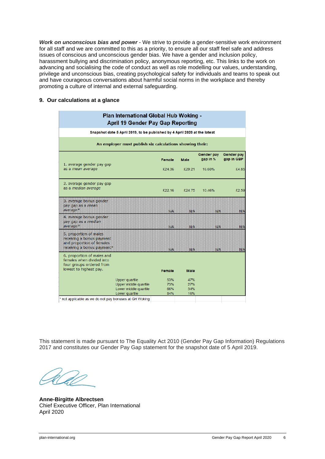*Work on unconscious bias and power* - We strive to provide a gender-sensitive work environment for all staff and we are committed to this as a priority, to ensure all our staff feel safe and address issues of conscious and unconscious gender bias. We have a gender and inclusion policy, harassment bullying and discrimination policy, anonymous reporting, etc. This links to the work on advancing and socialising the code of conduct as well as role modelling our values, understanding, privilege and unconscious bias, creating psychological safety for individuals and teams to speak out and have courageous conversations about harmful social norms in the workplace and thereby promoting a culture of internal and external safeguarding.

#### **9. Our calculations at a glance**

| Plan International Global Hub Woking -<br><b>April 19 Gender Pay Gap Reporting</b>                              |                                                              |             |                        |                                 |  |  |  |  |  |
|-----------------------------------------------------------------------------------------------------------------|--------------------------------------------------------------|-------------|------------------------|---------------------------------|--|--|--|--|--|
| Snapshot date 5 April 2019, to be published by 4 April 2020 at the latest                                       |                                                              |             |                        |                                 |  |  |  |  |  |
| An employer must publish six calculations showing their:                                                        |                                                              |             |                        |                                 |  |  |  |  |  |
| 1. average gender pay gap                                                                                       | <b>Female</b>                                                | <b>Male</b> | Gender pay<br>gap in % | <b>Gender pay</b><br>gap in GBP |  |  |  |  |  |
| as a mean average                                                                                               | £24.36                                                       | £29.21      | 16.60%                 | £4.85                           |  |  |  |  |  |
| 2. average gender pay gap                                                                                       |                                                              |             |                        |                                 |  |  |  |  |  |
| as a median average                                                                                             | £22.16                                                       | £24.75      | 10.46%                 | £2.59                           |  |  |  |  |  |
| 3. average bonus gender<br>pay gap as a mean<br>average*                                                        | NIA.                                                         | NIA         | <b>NIA</b>             | NIA                             |  |  |  |  |  |
| 4. average bonus gender<br>pay gap as a median<br>average*                                                      | N/A                                                          | NА          | N/A                    | 掛A                              |  |  |  |  |  |
| 5. proportion of males<br>receiving a bonus payment<br>and proportion of females.<br>receiving a bonus payment* | N/A                                                          | N/A         | NIA.                   | 翔人                              |  |  |  |  |  |
| 6. proportion of males and<br>females when divided into<br>four groups ordered from                             |                                                              |             |                        |                                 |  |  |  |  |  |
| lowest to highest pay.                                                                                          | <b>Female</b>                                                | <b>Male</b> |                        |                                 |  |  |  |  |  |
| Upper quartile                                                                                                  | 53%                                                          | 47%         |                        |                                 |  |  |  |  |  |
|                                                                                                                 | Upper middle quartile<br>73%<br>Lower middle quartile<br>66% | 27%<br>34%  |                        |                                 |  |  |  |  |  |
| Lower quartile<br>* not applicable as we do not pay bonuses at GH Woking                                        | 84%                                                          | 16%         |                        |                                 |  |  |  |  |  |

This statement is made pursuant to The Equality Act 2010 (Gender Pay Gap Information) Regulations 2017 and constitutes our Gender Pay Gap statement for the snapshot date of 5 April 2019.

**Anne-Birgitte Albrectsen** Chief Executive Officer, Plan International April 2020